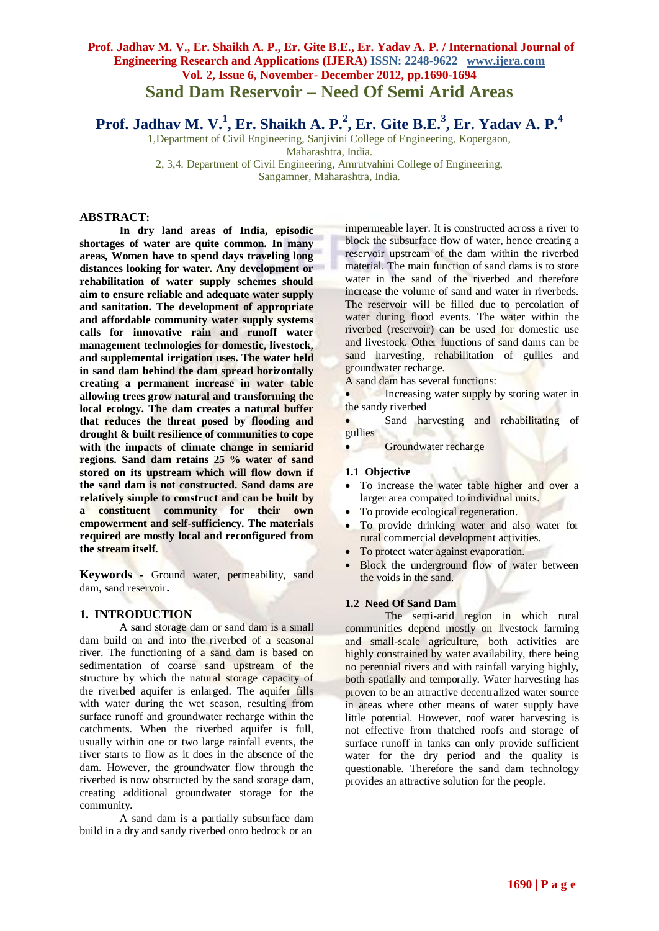**Prof. Jadhav M. V.<sup>1</sup> , Er. Shaikh A. P.<sup>2</sup> , Er. Gite B.E.<sup>3</sup> , Er. Yadav A. P.<sup>4</sup>**

1,Department of Civil Engineering, Sanjivini College of Engineering, Kopergaon, Maharashtra, India.

2, 3,4. Department of Civil Engineering, Amrutvahini College of Engineering, Sangamner, Maharashtra, India.

## **ABSTRACT:**

**In dry land areas of India, episodic shortages of water are quite common. In many areas, Women have to spend days traveling long distances looking for water. Any development or rehabilitation of water supply schemes should aim to ensure reliable and adequate water supply and sanitation. The development of appropriate and affordable community water supply systems calls for innovative rain and runoff water management technologies for domestic, livestock, and supplemental irrigation uses. The water held in sand dam behind the dam spread horizontally creating a permanent increase in water table allowing trees grow natural and transforming the local ecology. The dam creates a natural buffer that reduces the threat posed by flooding and drought & built resilience of communities to cope with the impacts of climate change in semiarid regions. Sand dam retains 25 % water of sand stored on its upstream which will flow down if the sand dam is not constructed. Sand dams are relatively simple to construct and can be built [by](http://www.youtube.com/watch?v=7rB9fheGeRo&feature=player_embedded) a constituent community for their own empowerment and self-sufficiency. The materials required are mostly local and reconfigured from the stream itself.**

**Keywords -** Ground water, permeability, sand dam, sand reservoir**.**

#### **1. INTRODUCTION**

A sand storage dam or sand dam is a small dam build on and into the riverbed of a seasonal river. The functioning of a sand dam is based on sedimentation of coarse sand upstream of the structure by which the natural storage capacity of the riverbed aquifer is enlarged. The aquifer fills with water during the wet season, resulting from surface runoff and groundwater recharge within the catchments. When the riverbed aquifer is full, usually within one or two large rainfall events, the river starts to flow as it does in the absence of the dam. However, the groundwater flow through the riverbed is now obstructed by the sand storage dam, creating additional groundwater storage for the community.

A sand dam is a partially subsurface dam build in a dry and sandy riverbed onto bedrock or an

impermeable layer. It is constructed across a river to block the subsurface flow of water, hence creating a reservoir upstream of the dam within the riverbed material. The main function of sand dams is to store water in the sand of the riverbed and therefore increase the volume of sand and water in riverbeds. The reservoir will be filled due to percolation of water during flood events. The water within the riverbed (reservoir) can be used for domestic use and livestock. Other functions of sand dams can be sand harvesting, rehabilitation of gullies and groundwater recharge.

A sand dam has several functions:

 Increasing water supply by storing water in the sandy riverbed

 Sand harvesting and rehabilitating of gullies

Groundwater recharge

#### **1.1 Objective**

- To increase the water table higher and over a larger area compared to individual units.
- To provide ecological regeneration.
- To provide drinking water and also water for rural commercial development activities.
- To protect water against evaporation.
- Block the underground flow of water between the voids in the sand.

#### **1.2 Need Of Sand Dam**

The semi-arid region in which rural communities depend mostly on livestock farming and small-scale agriculture, both activities are highly constrained by water availability, there being no perennial rivers and with rainfall varying highly, both spatially and temporally. Water harvesting has proven to be an attractive decentralized water source in areas where other means of water supply have little potential. However, roof water harvesting is not effective from thatched roofs and storage of surface runoff in tanks can only provide sufficient water for the dry period and the quality is questionable. Therefore the sand dam technology provides an attractive solution for the people.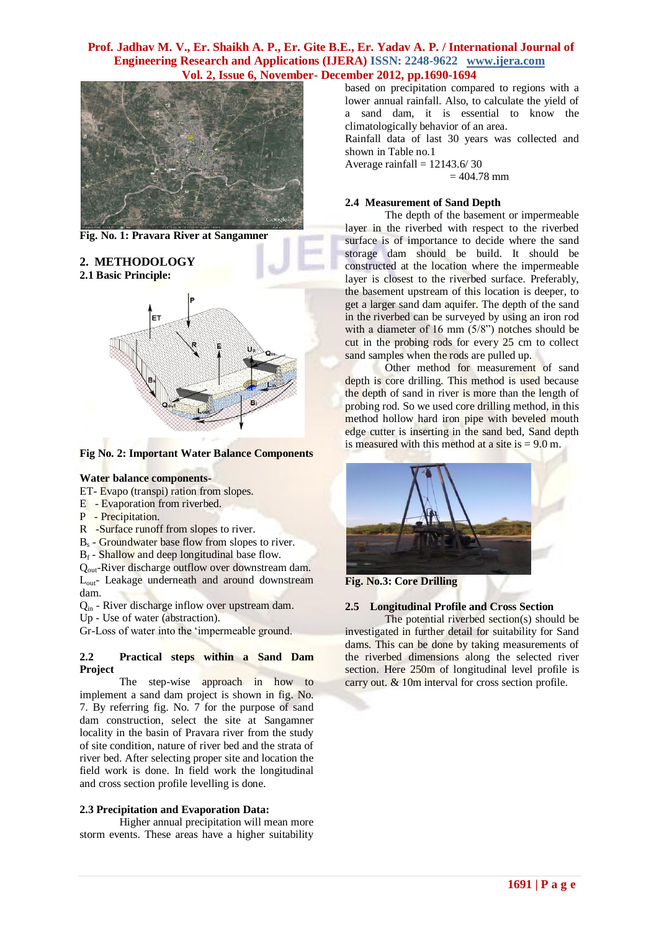

**Fig. No. 1: Pravara River at Sangamner**

**2. METHODOLOGY 2.1 Basic Principle:**



**Fig No. 2: Important Water Balance Components** 

#### **Water balance components-**

- ET- Evapo (transpi) ration from slopes.
- E Evaporation from riverbed.
- P Precipitation.
- R -Surface runoff from slopes to river.
- B<sub>s</sub> Groundwater base flow from slopes to river.
- $B_f$  Shallow and deep longitudinal base flow.

Q<sub>out</sub>-River discharge outflow over downstream dam. L<sub>out</sub>- Leakage underneath and around downstream dam.

Qin - River discharge inflow over upstream dam.

Up - Use of water (abstraction).

Gr-Loss of water into the 'impermeable ground.

#### **2.2 Practical steps within a Sand Dam Project**

The step-wise approach in how to implement a sand dam project is shown in fig. No. 7. By referring fig. No. 7 for the purpose of sand dam construction, select the site at Sangamner locality in the basin of Pravara river from the study of site condition, nature of river bed and the strata of river bed. After selecting proper site and location the field work is done. In field work the longitudinal and cross section profile levelling is done.

#### **2.3 Precipitation and Evaporation Data:**

Higher annual precipitation will mean more storm events. These areas have a higher suitability based on precipitation compared to regions with a lower annual rainfall. Also, to calculate the yield of a sand dam, it is essential to know the climatologically behavior of an area.

Rainfall data of last 30 years was collected and shown in Table no.1

Average rainfall  $= 12143.6/30$ 

 $= 404.78$  mm

#### **2.4 Measurement of Sand Depth**

The depth of the basement or impermeable layer in the riverbed with respect to the riverbed surface is of importance to decide where the sand storage dam should be build. It should be constructed at the location where the impermeable layer is closest to the riverbed surface. Preferably, the basement upstream of this location is deeper, to get a larger sand dam aquifer. The depth of the sand in the riverbed can be surveyed by using an iron rod with a diameter of 16 mm (5/8") notches should be cut in the probing rods for every 25 cm to collect sand samples when the rods are pulled up.

Other method for measurement of sand depth is core drilling. This method is used because the depth of sand in river is more than the length of probing rod. So we used core drilling method, in this method hollow hard iron pipe with beveled mouth edge cutter is inserting in the sand bed, Sand depth is measured with this method at a site is  $= 9.0$  m.



**Fig. No.3: Core Drilling**

#### **2.5 Longitudinal Profile and Cross Section**

The potential riverbed section(s) should be investigated in further detail for suitability for Sand dams. This can be done by taking measurements of the riverbed dimensions along the selected river section. Here 250m of longitudinal level profile is carry out. & 10m interval for cross section profile.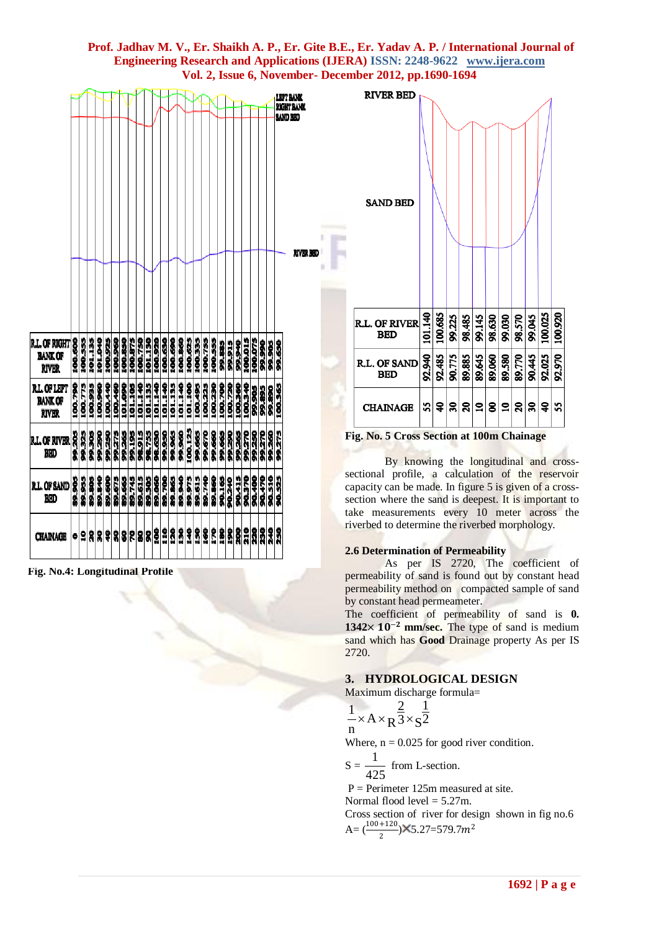|                                                                                    |                   |                   |                   |                   |                   |                   |                   |                   |                   |                   |                   |                   |                   |                   |                    |                   |                   |                      |                   |                   |                   |                  |                  |                  |                   |                   | <b>SAND BED</b> | LEPT BANK<br><b>RIGHT BANK</b> |           |
|------------------------------------------------------------------------------------|-------------------|-------------------|-------------------|-------------------|-------------------|-------------------|-------------------|-------------------|-------------------|-------------------|-------------------|-------------------|-------------------|-------------------|--------------------|-------------------|-------------------|----------------------|-------------------|-------------------|-------------------|------------------|------------------|------------------|-------------------|-------------------|-----------------|--------------------------------|-----------|
| <b>R.L. OF RIGHT</b><br><b>BANK OF</b><br><b>RIVER</b>                             | 100.600           | 100.555           | 101.135           | 101.040           | 100.925           | 100.960           | 100.850           | 100.875           | 100.750           | 101.130           | 100,920           | 100.630           | 100.690           | 100.860           | 100.625            | 100.335           | 100.755           | 100.555              | 99.885            | 99.915            | 98,940            | 100.015          | 100.075          | 99.990           | 99,905            | 99.650            |                 |                                | RIVER BED |
| <b>R.L. OF LEFT</b><br><b>BANK OF</b><br><b>RIVER</b><br><b>R.L. OF RIVER</b><br>胭 | 100.790<br>99.205 | 100.775<br>99.325 | 100.935<br>99.305 | 100.960<br>99.290 | 100.440<br>99.250 | 100.460<br>99.275 | 101.090<br>99.265 | 101.105<br>99,195 | 101.140<br>98.915 | 101.135<br>98,755 | 101.140<br>98.630 | 101.140<br>99.950 | 101.135<br>99.965 | 101.140<br>99,960 | 101.100<br>100.125 | 100,495<br>99.665 | 100.225<br>99.670 | 100.230<br>99.660    | 100.700<br>99.665 | 100.720<br>99,290 | 100.360<br>99,265 | 100340<br>92.270 | 99.905<br>99.250 | 99.895<br>99.270 | 99,890<br>995.960 | 100.365<br>99.275 |                 |                                |           |
| <b>R.L. OF SAND</b><br>BED<br><b>CHAINAGE</b>                                      | 89.905<br>۰       | 89.955<br>9       | 89.805<br>R       | 89.840            | 89.600            | 89.675            | 89.665<br>3333    | 89.745            | 89.615            | 89.305<br>288     | 89.060<br>ĝ       | 89.700<br>110     | 89.865<br>30      | 89,940<br>8       | 89.975<br>\$       | 89.615<br>Ŝ       | 89.740<br>ŝ       | 89.860<br><b>SLI</b> | 90.165<br>8       | 90.240<br>Š       | 30.415<br>å       | 90.370<br>210    | 90.400<br>8      | 90.470<br>30     | 90.510<br>940     | <b>SC200</b><br>3 |                 |                                |           |

**Fig. No.4: Longitudinal Profile**



**Fig. No. 5 Cross Section at 100m Chainage**

By knowing the longitudinal and crosssectional profile, a calculation of the reservoir capacity can be made. In figure 5 is given of a crosssection where the sand is deepest. It is important to take measurements every 10 meter across the riverbed to determine the riverbed morphology.

#### **2.6 Determination of Permeability**

As per IS 2720, The coefficient of permeability of sand is found out by constant head permeability method on compacted sample of sand by constant head permeameter.

The coefficient of permeability of sand is **0.**   $1342 \times 10^{-2}$  mm/sec. The type of sand is medium sand which has **Good** Drainage property As per IS 2720.

## **3. HYDROLOGICAL DESIGN**

Maximum discharge formula=

$$
\frac{1}{n} \times A \times R^{\frac{2}{3}} \times S^{\frac{1}{2}}
$$

Where,  $n = 0.025$  for good river condition.

$$
S = \frac{1}{425}
$$
 from L-section.

 $P =$  Perimeter 125m measured at site.

Normal flood level  $= 5.27$ m.

Cross section of river for design shown in fig no.6 A= $\left(\frac{100+120}{2}\right)$ X5.27=579.7m<sup>2</sup>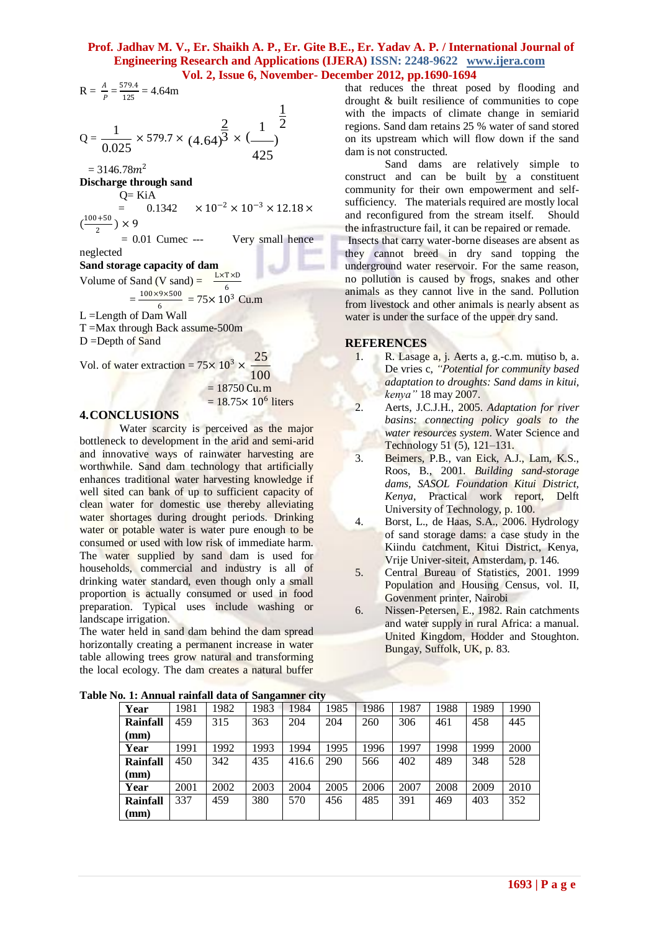R = 
$$
\frac{A}{P} = \frac{579.4}{125} = 4.64 \text{m}
$$
  
Q =  $\frac{1}{0.025} \times 579.7 \times (4.64)^{\frac{2}{3}} \times (\frac{1}{425})^{\frac{1}{2}}$ 

 $= 3146.78m<sup>2</sup>$ 

**Discharge through sand**

 $Q=$  KiA

=  $0.1342 \times 10^{-2} \times 10^{-3} \times 12.18 \times$  $\left(\frac{100+50}{2}\right)$ 

 $\frac{1}{2}$   $\times$  9  $= 0.01$  Cumec --- Very small hence

neglected

**Sand storage capacity of dam**

Volume of Sand  $(V \text{ sand}) = \frac{L \times T \times D}{f}$  $\frac{1}{6}$ 

 $=\frac{100\times9\times500}{6}$  $\frac{6}{6}$  = 75× 10<sup>3</sup> Cu.m

L =Length of Dam Wall

T =Max through Back assume-500m  $D =$ Depth of Sand

Vol. of water extraction =  $75 \times 10^3 \times$ 25

100

 $= 18750$  Cu.m

 $= 18.75 \times 10^6$  liters

## **4.CONCLUSIONS**

Water scarcity is perceived as the major bottleneck to development in the arid and semi-arid and innovative ways of rainwater harvesting are worthwhile. Sand dam technology that artificially enhances traditional water harvesting knowledge if well sited can bank of up to sufficient capacity of clean water for domestic use thereby alleviating water shortages during drought periods. Drinking water or potable [water](http://en.wikipedia.org/wiki/Water) is water pure enough to be consumed or used with low risk of immediate harm. The water supplied by sand dam is used for households, commercial and industry is all of drinking water standard, even though only a small proportion is actually consumed or used in food preparation. Typical uses include washing or [landscape](http://en.wikipedia.org/wiki/Landscape) [irrigation.](http://en.wikipedia.org/wiki/Irrigation)

The water held in sand dam behind the dam spread horizontally creating a permanent increase in water table allowing trees grow natural and transforming the local ecology. The dam creates a natural buffer

that reduces the threat posed by flooding and drought & built resilience of communities to cope with the impacts of climate change in semiarid regions. Sand dam retains 25 % water of sand stored on its upstream which will flow down if the sand dam is not constructed.

Sand dams are relatively simple to construct and can be built [by](http://www.youtube.com/watch?v=7rB9fheGeRo&feature=player_embedded) a constituent community for their own empowerment and selfsufficiency. The materials required are mostly local and reconfigured from the stream itself. Should the infrastructure fail, it can be repaired or remade.

Insects that carry water-borne diseases are absent as they cannot breed in dry sand topping the underground water reservoir. For the same reason, no pollution is caused by frogs, snakes and other animals as they cannot live in the sand. Pollution from livestock and other animals is nearly absent as water is under the surface of the upper dry sand.

### **REFERENCES**

- 1. R. Lasage a, j. Aerts a, g.-c.m. mutiso b, a. De vries c, *"Potential for community based adaptation to droughts: Sand dams in kitui, kenya"* 18 may 2007.
- 2. Aerts, J.C.J.H., 2005. *Adaptation for river basins: connecting policy goals to the water resources system*. Water Science and Technology 51 (5), 121–131.
- 3. Beimers, P.B., van Eick, A.J., Lam, K.S., Roos, B., 2001. *Building sand-storage dams, SASOL Foundation Kitui District, Kenya*, Practical work report, Delft University of Technology, p. 100.
- 4. Borst, L., de Haas, S.A., 2006. Hydrology of sand storage dams: a case study in the Kiindu catchment, Kitui District, Kenya, Vrije Univer-siteit, Amsterdam, p. 146.
- 5. Central Bureau of Statistics, 2001. 1999 Population and Housing Census, vol. II, Govenment printer, Nairobi
- 6. Nissen-Petersen, E., 1982. Rain catchments and water supply in rural Africa: a manual. United Kingdom, Hodder and Stoughton. Bungay, Suffolk, UK, p. 83.

| 101 11 Innium I Minium uutu ol Dungminici City |      |      |      |       |      |      |      |      |      |      |  |  |  |
|------------------------------------------------|------|------|------|-------|------|------|------|------|------|------|--|--|--|
| Year                                           | 1981 | 1982 | 1983 | 1984  | 1985 | 1986 | 1987 | 1988 | 1989 | 1990 |  |  |  |
| <b>Rainfall</b>                                | 459  | 315  | 363  | 204   | 204  | 260  | 306  | 461  | 458  | 445  |  |  |  |
| (mm)                                           |      |      |      |       |      |      |      |      |      |      |  |  |  |
| Year                                           | 1991 | 1992 | 1993 | 1994  | 1995 | 1996 | 1997 | 1998 | 1999 | 2000 |  |  |  |
| <b>Rainfall</b>                                | 450  | 342  | 435  | 416.6 | 290  | 566  | 402  | 489  | 348  | 528  |  |  |  |
| (mm)                                           |      |      |      |       |      |      |      |      |      |      |  |  |  |
| Year                                           | 2001 | 2002 | 2003 | 2004  | 2005 | 2006 | 2007 | 2008 | 2009 | 2010 |  |  |  |
| <b>Rainfall</b>                                | 337  | 459  | 380  | 570   | 456  | 485  | 391  | 469  | 403  | 352  |  |  |  |
| (mm)                                           |      |      |      |       |      |      |      |      |      |      |  |  |  |

**Table No. 1: Annual rainfall data of Sangamner city**